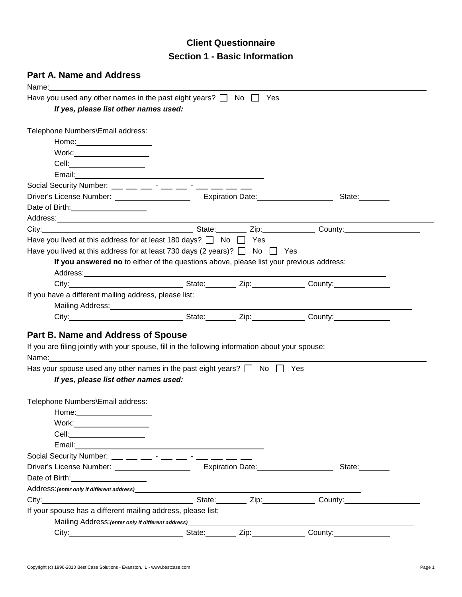# **Client Questionnaire Section 1 - Basic Information**

# **Part A. Name and Address**

| Name:                                                                                                                                                                                                                                                                                                          |                       |                                                                                                                 |  |
|----------------------------------------------------------------------------------------------------------------------------------------------------------------------------------------------------------------------------------------------------------------------------------------------------------------|-----------------------|-----------------------------------------------------------------------------------------------------------------|--|
| Have you used any other names in the past eight years? $\Box$ No $\Box$ Yes                                                                                                                                                                                                                                    |                       |                                                                                                                 |  |
| If yes, please list other names used:                                                                                                                                                                                                                                                                          |                       |                                                                                                                 |  |
|                                                                                                                                                                                                                                                                                                                |                       |                                                                                                                 |  |
| Telephone Numbers\Email address:                                                                                                                                                                                                                                                                               |                       |                                                                                                                 |  |
|                                                                                                                                                                                                                                                                                                                |                       |                                                                                                                 |  |
|                                                                                                                                                                                                                                                                                                                |                       |                                                                                                                 |  |
| Cell:________________________                                                                                                                                                                                                                                                                                  |                       |                                                                                                                 |  |
|                                                                                                                                                                                                                                                                                                                |                       |                                                                                                                 |  |
| Social Security Number: __ _ _ _ _ _ - __ _ _ -                                                                                                                                                                                                                                                                |                       |                                                                                                                 |  |
|                                                                                                                                                                                                                                                                                                                |                       | State:                                                                                                          |  |
| Date of Birth: 2008                                                                                                                                                                                                                                                                                            |                       |                                                                                                                 |  |
|                                                                                                                                                                                                                                                                                                                |                       |                                                                                                                 |  |
| City: Current County: County: County: City: County: County:                                                                                                                                                                                                                                                    |                       |                                                                                                                 |  |
| Have you lived at this address for at least 180 days? $\Box$ No $\Box$ Yes                                                                                                                                                                                                                                     |                       |                                                                                                                 |  |
| Have you lived at this address for at least 730 days (2 years)? $\Box$ No $\Box$ Yes                                                                                                                                                                                                                           |                       |                                                                                                                 |  |
| If you answered no to either of the questions above, please list your previous address:                                                                                                                                                                                                                        |                       |                                                                                                                 |  |
|                                                                                                                                                                                                                                                                                                                |                       |                                                                                                                 |  |
|                                                                                                                                                                                                                                                                                                                |                       |                                                                                                                 |  |
| If you have a different mailing address, please list:                                                                                                                                                                                                                                                          |                       |                                                                                                                 |  |
|                                                                                                                                                                                                                                                                                                                |                       |                                                                                                                 |  |
|                                                                                                                                                                                                                                                                                                                |                       | City: City: Culture City: County: County: County: County: County: County:                                       |  |
|                                                                                                                                                                                                                                                                                                                |                       |                                                                                                                 |  |
| Part B. Name and Address of Spouse                                                                                                                                                                                                                                                                             |                       |                                                                                                                 |  |
| If you are filing jointly with your spouse, fill in the following information about your spouse:                                                                                                                                                                                                               |                       |                                                                                                                 |  |
| Name: when the contract of the contract of the contract of the contract of the contract of the contract of the                                                                                                                                                                                                 |                       |                                                                                                                 |  |
| Has your spouse used any other names in the past eight years? $\Box$ No $\Box$ Yes                                                                                                                                                                                                                             |                       |                                                                                                                 |  |
| If yes, please list other names used:                                                                                                                                                                                                                                                                          |                       |                                                                                                                 |  |
|                                                                                                                                                                                                                                                                                                                |                       |                                                                                                                 |  |
| Telephone Numbers\Email address:                                                                                                                                                                                                                                                                               |                       |                                                                                                                 |  |
| Home: Note: Note: Note: Note: Note: Note: Note: Note: Note: Note: Note: Note: Note: Note: Note: Note: Note: No                                                                                                                                                                                                 |                       |                                                                                                                 |  |
| Work:_____ <b>_______________</b>                                                                                                                                                                                                                                                                              |                       |                                                                                                                 |  |
|                                                                                                                                                                                                                                                                                                                |                       |                                                                                                                 |  |
| Email: 2008 2009 2009 2009 2009 2009 2010 2021 2032 2040 2051 2052 2053 2054 2055 2056 2057 2058 2059 2059 205                                                                                                                                                                                                 |                       |                                                                                                                 |  |
| Social Security Number: $\frac{1}{1}$ $\frac{1}{1}$ $\frac{1}{1}$ $\frac{1}{1}$ $\frac{1}{1}$ $\frac{1}{1}$ $\frac{1}{1}$ $\frac{1}{1}$ $\frac{1}{1}$ $\frac{1}{1}$ $\frac{1}{1}$ $\frac{1}{1}$ $\frac{1}{1}$ $\frac{1}{1}$ $\frac{1}{1}$ $\frac{1}{1}$ $\frac{1}{1}$ $\frac{1}{1}$ $\frac{1}{1}$ $\frac{1}{1$ |                       |                                                                                                                 |  |
| Driver's License Number: _____________________                                                                                                                                                                                                                                                                 | Expiration Date: 2008 | State:                                                                                                          |  |
| Date of Birth: 2008 and 2012 and 2014                                                                                                                                                                                                                                                                          |                       |                                                                                                                 |  |
| Address: (enter only if different address)                                                                                                                                                                                                                                                                     |                       |                                                                                                                 |  |
|                                                                                                                                                                                                                                                                                                                | State: Zip: Zip:      | County:                                                                                                         |  |
| If your spouse has a different mailing address, please list:                                                                                                                                                                                                                                                   |                       |                                                                                                                 |  |
|                                                                                                                                                                                                                                                                                                                |                       | Mailing Address: (enter only if different address) Mail Communication of the Communication of the Communication |  |
|                                                                                                                                                                                                                                                                                                                | State: Zip:           |                                                                                                                 |  |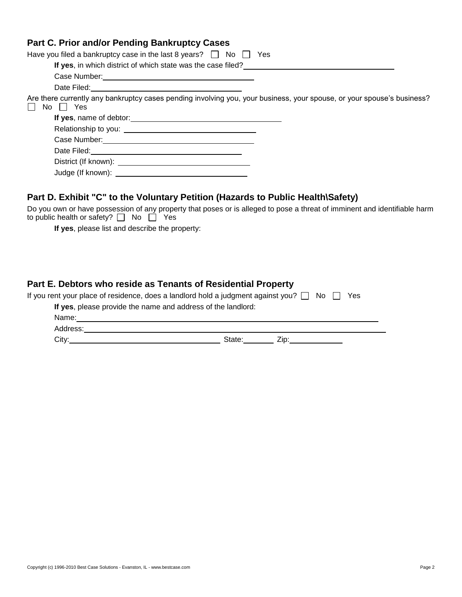## **Part C. Prior and/or Pending Bankruptcy Cases**

| Have you filed a bankruptcy case in the last 8 years? $\Box$ No $\Box$<br>Yes                                                        |
|--------------------------------------------------------------------------------------------------------------------------------------|
| If yes, in which district of which state was the case filed?                                                                         |
|                                                                                                                                      |
|                                                                                                                                      |
| Are there currently any bankruptcy cases pending involving you, your business, your spouse, or your spouse's business?<br>Yes<br>No. |
| If yes, name of debtor:<br><u> Letter and the contract of the set of debtor</u>                                                      |
|                                                                                                                                      |
|                                                                                                                                      |
|                                                                                                                                      |
| District (If known): District (If known):                                                                                            |
|                                                                                                                                      |

# **Part D. Exhibit "C" to the Voluntary Petition (Hazards to Public Health\Safety)**

Do you own or have possession of any property that poses or is alleged to pose a threat of imminent and identifiable harm to public health or safety?  $\Box$  No  $\Box$  Yes

**If yes**, please list and describe the property:

## **Part E. Debtors who reside as Tenants of Residential Property**

| If you rent your place of residence, does a landlord hold a judgment against you? $\Box$ No $\Box$ |        |      | Yes |  |
|----------------------------------------------------------------------------------------------------|--------|------|-----|--|
| If yes, please provide the name and address of the landlord:                                       |        |      |     |  |
| Name:                                                                                              |        |      |     |  |
| Address:                                                                                           |        |      |     |  |
| City:                                                                                              | State: | Zip: |     |  |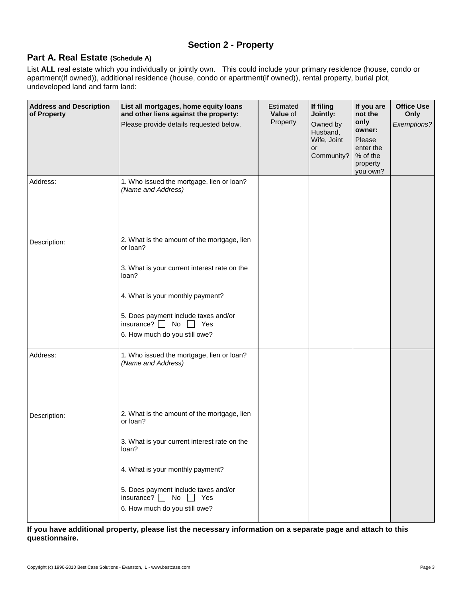# **Section 2 - Property**

## **Part A. Real Estate (Schedule A)**

List **ALL** real estate which you individually or jointly own. This could include your primary residence (house, condo or apartment(if owned)), additional residence (house, condo or apartment(if owned)), rental property, burial plot, undeveloped land and farm land:

| <b>Address and Description</b><br>of Property | List all mortgages, home equity loans<br>and other liens against the property:<br>Please provide details requested below.                                                                                                                                        | Estimated<br>Value of<br>Property | If filing<br>Jointly:<br>Owned by<br>Husband,<br>Wife, Joint<br>or<br>Community? | If you are<br>not the<br>only<br>owner:<br>Please<br>enter the<br>% of the<br>property<br>you own? | <b>Office Use</b><br>Only<br>Exemptions? |
|-----------------------------------------------|------------------------------------------------------------------------------------------------------------------------------------------------------------------------------------------------------------------------------------------------------------------|-----------------------------------|----------------------------------------------------------------------------------|----------------------------------------------------------------------------------------------------|------------------------------------------|
| Address:                                      | 1. Who issued the mortgage, lien or loan?<br>(Name and Address)                                                                                                                                                                                                  |                                   |                                                                                  |                                                                                                    |                                          |
| Description:                                  | 2. What is the amount of the mortgage, lien<br>or loan?<br>3. What is your current interest rate on the<br>loan?<br>4. What is your monthly payment?<br>5. Does payment include taxes and/or<br>insurance? $\Box$ No $\Box$ Yes<br>6. How much do you still owe? |                                   |                                                                                  |                                                                                                    |                                          |
| Address:                                      | 1. Who issued the mortgage, lien or loan?<br>(Name and Address)                                                                                                                                                                                                  |                                   |                                                                                  |                                                                                                    |                                          |
| Description:                                  | 2. What is the amount of the mortgage, lien<br>or loan?<br>3. What is your current interest rate on the<br>loan?<br>4. What is your monthly payment?<br>5. Does payment include taxes and/or<br>insurance? $\Box$ No $\Box$ Yes<br>6. How much do you still owe? |                                   |                                                                                  |                                                                                                    |                                          |

**If you have additional property, please list the necessary information on a separate page and attach to this questionnaire.**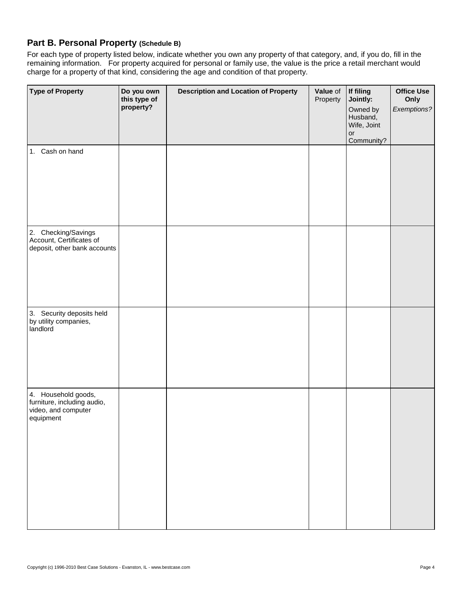# **Part B. Personal Property (Schedule B)**

For each type of property listed below, indicate whether you own any property of that category, and, if you do, fill in the remaining information. For property acquired for personal or family use, the value is the price a retail merchant would charge for a property of that kind, considering the age and condition of that property.

| <b>Type of Property</b>                                                                | Do you own<br>this type of<br>property? | <b>Description and Location of Property</b> | Value of<br>Property | If filing<br>Jointly:<br>Owned by<br>Husband,<br>Wife, Joint<br>or | <b>Office Use</b><br>Only<br>Exemptions? |
|----------------------------------------------------------------------------------------|-----------------------------------------|---------------------------------------------|----------------------|--------------------------------------------------------------------|------------------------------------------|
| 1. Cash on hand                                                                        |                                         |                                             |                      | Community?                                                         |                                          |
| 2. Checking/Savings<br>Account, Certificates of<br>deposit, other bank accounts        |                                         |                                             |                      |                                                                    |                                          |
| 3. Security deposits held<br>by utility companies,<br>landlord                         |                                         |                                             |                      |                                                                    |                                          |
| 4. Household goods,<br>furniture, including audio,<br>video, and computer<br>equipment |                                         |                                             |                      |                                                                    |                                          |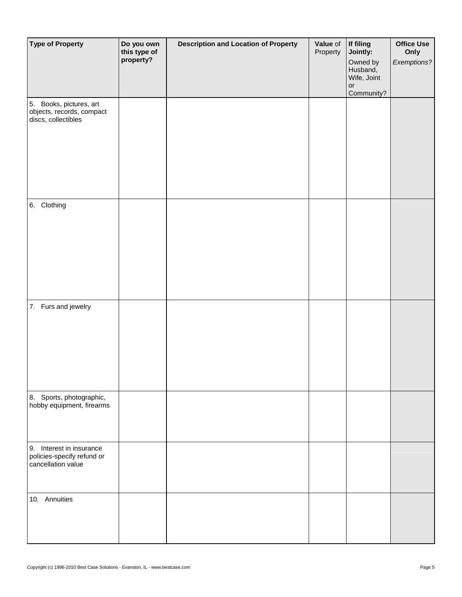| <b>Type of Property</b>                                                      | Do you own<br>this type of<br>property? | <b>Description and Location of Property</b> | Value of<br>Property | If filing<br>Jointly:<br>Owned by<br>Husband,<br>Wife, Joint<br>or<br>Community? | <b>Office Use</b><br>Only<br>Exemptions? |
|------------------------------------------------------------------------------|-----------------------------------------|---------------------------------------------|----------------------|----------------------------------------------------------------------------------|------------------------------------------|
| 5. Books, pictures, art<br>objects, records, compact<br>discs, collectibles  |                                         |                                             |                      |                                                                                  |                                          |
| 6. Clothing                                                                  |                                         |                                             |                      |                                                                                  |                                          |
| 7. Furs and jewelry                                                          |                                         |                                             |                      |                                                                                  |                                          |
| 8. Sports, photographic,<br>hobby equipment, firearms                        |                                         |                                             |                      |                                                                                  |                                          |
| 9. Interest in insurance<br>policies-specify refund or<br>cancellation value |                                         |                                             |                      |                                                                                  |                                          |
| 10. Annuities                                                                |                                         |                                             |                      |                                                                                  |                                          |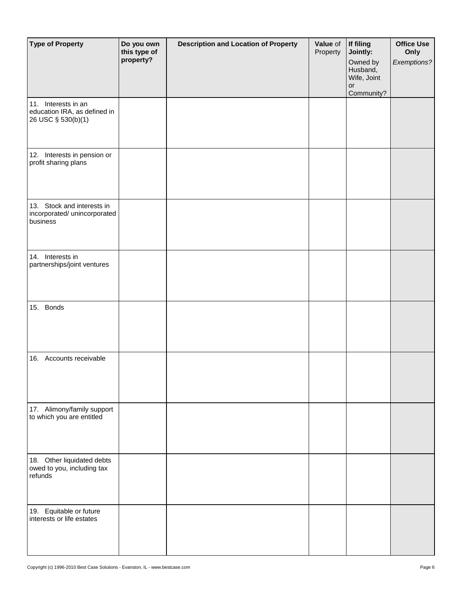| <b>Type of Property</b>                                                   | Do you own<br>this type of<br>property? | <b>Description and Location of Property</b> | Value of<br>Property | If filing<br>Jointly:<br>Owned by<br>Husband,<br>Wife, Joint<br>$\mathop{\mathsf{or}}$<br>Community? | <b>Office Use</b><br>Only<br>Exemptions? |
|---------------------------------------------------------------------------|-----------------------------------------|---------------------------------------------|----------------------|------------------------------------------------------------------------------------------------------|------------------------------------------|
| 11. Interests in an<br>education IRA, as defined in<br>26 USC § 530(b)(1) |                                         |                                             |                      |                                                                                                      |                                          |
| 12. Interests in pension or<br>profit sharing plans                       |                                         |                                             |                      |                                                                                                      |                                          |
| 13. Stock and interests in<br>incorporated/ unincorporated<br>business    |                                         |                                             |                      |                                                                                                      |                                          |
| 14. Interests in<br>partnerships/joint ventures                           |                                         |                                             |                      |                                                                                                      |                                          |
| 15. Bonds                                                                 |                                         |                                             |                      |                                                                                                      |                                          |
| 16. Accounts receivable                                                   |                                         |                                             |                      |                                                                                                      |                                          |
| 17. Alimony/family support<br>to which you are entitled                   |                                         |                                             |                      |                                                                                                      |                                          |
| 18. Other liquidated debts<br>owed to you, including tax<br>refunds       |                                         |                                             |                      |                                                                                                      |                                          |
| 19. Equitable or future<br>interests or life estates                      |                                         |                                             |                      |                                                                                                      |                                          |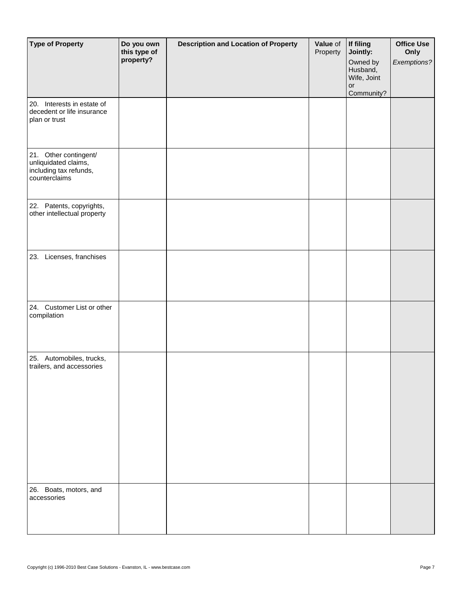| <b>Type of Property</b>                                                                  | Do you own<br>this type of<br>property? | <b>Description and Location of Property</b> | Value of<br>Property | If filing<br>Jointly:<br>Owned by<br>Husband,<br>Wife, Joint<br>or<br>Community? | <b>Office Use</b><br>Only<br>Exemptions? |
|------------------------------------------------------------------------------------------|-----------------------------------------|---------------------------------------------|----------------------|----------------------------------------------------------------------------------|------------------------------------------|
| 20. Interests in estate of<br>decedent or life insurance<br>plan or trust                |                                         |                                             |                      |                                                                                  |                                          |
| 21. Other contingent/<br>unliquidated claims,<br>including tax refunds,<br>counterclaims |                                         |                                             |                      |                                                                                  |                                          |
| 22. Patents, copyrights,<br>other intellectual property                                  |                                         |                                             |                      |                                                                                  |                                          |
| 23. Licenses, franchises                                                                 |                                         |                                             |                      |                                                                                  |                                          |
| 24. Customer List or other<br>compilation                                                |                                         |                                             |                      |                                                                                  |                                          |
| 25. Automobiles, trucks,<br>trailers, and accessories                                    |                                         |                                             |                      |                                                                                  |                                          |
| 26. Boats, motors, and<br>accessories                                                    |                                         |                                             |                      |                                                                                  |                                          |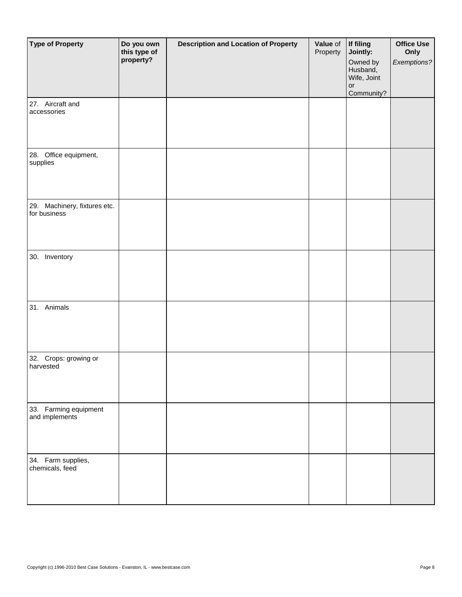| <b>Type of Property</b>                      | Do you own<br>this type of<br>property? | <b>Description and Location of Property</b> | Value of<br>Property | If filing<br>Jointly:<br>Owned by<br>Husband,<br>Wife, Joint<br>or<br>Community? | <b>Office Use</b><br>Only<br>Exemptions? |
|----------------------------------------------|-----------------------------------------|---------------------------------------------|----------------------|----------------------------------------------------------------------------------|------------------------------------------|
| 27. Aircraft and<br>accessories              |                                         |                                             |                      |                                                                                  |                                          |
| 28. Office equipment,<br>supplies            |                                         |                                             |                      |                                                                                  |                                          |
| 29. Machinery, fixtures etc.<br>for business |                                         |                                             |                      |                                                                                  |                                          |
| 30. Inventory                                |                                         |                                             |                      |                                                                                  |                                          |
| 31. Animals                                  |                                         |                                             |                      |                                                                                  |                                          |
| 32. Crops: growing or<br>harvested           |                                         |                                             |                      |                                                                                  |                                          |
| 33. Farming equipment<br>and implements      |                                         |                                             |                      |                                                                                  |                                          |
| 34. Farm supplies,<br>chemicals, feed        |                                         |                                             |                      |                                                                                  |                                          |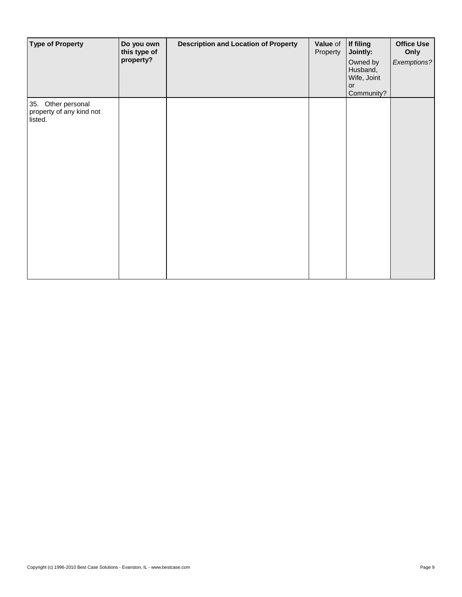| <b>Type of Property</b>                                   | Do you own<br>this type of<br>property? | <b>Description and Location of Property</b> | Value of<br>Property | If filing<br>Jointly:<br>Owned by<br>Husband,<br>Wife, Joint<br>or<br>Community? | <b>Office Use</b><br>Only<br>Exemptions? |
|-----------------------------------------------------------|-----------------------------------------|---------------------------------------------|----------------------|----------------------------------------------------------------------------------|------------------------------------------|
| 35. Other personal<br>property of any kind not<br>listed. |                                         |                                             |                      |                                                                                  |                                          |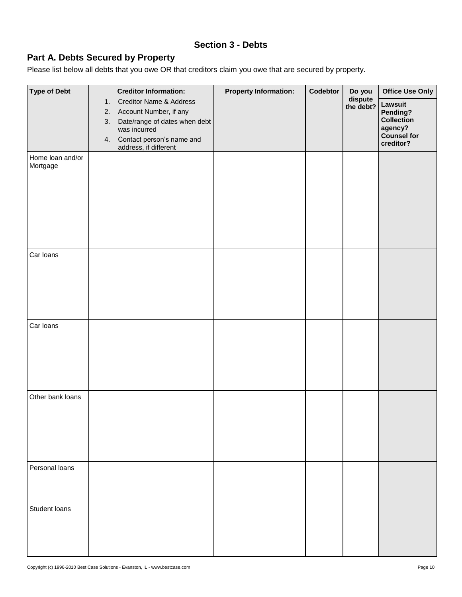## **Section 3 - Debts**

# **Part A. Debts Secured by Property**

Please list below all debts that you owe OR that creditors claim you owe that are secured by property.

| <b>Type of Debt</b>          |    | <b>Creditor Information:</b>                               | <b>Property Information:</b> | Codebtor | Do you               | <b>Office Use Only</b>          |
|------------------------------|----|------------------------------------------------------------|------------------------------|----------|----------------------|---------------------------------|
|                              | 1. | <b>Creditor Name &amp; Address</b>                         |                              |          | dispute<br>the debt? | Lawsuit                         |
|                              | 3. | 2. Account Number, if any<br>Date/range of dates when debt |                              |          |                      | Pending?<br>Collection          |
|                              |    | was incurred                                               |                              |          |                      | agency?                         |
|                              | 4. | Contact person's name and<br>address, if different         |                              |          |                      | <b>Counsel for</b><br>creditor? |
| Home loan and/or<br>Mortgage |    |                                                            |                              |          |                      |                                 |
|                              |    |                                                            |                              |          |                      |                                 |
|                              |    |                                                            |                              |          |                      |                                 |
|                              |    |                                                            |                              |          |                      |                                 |
|                              |    |                                                            |                              |          |                      |                                 |
|                              |    |                                                            |                              |          |                      |                                 |
|                              |    |                                                            |                              |          |                      |                                 |
| Car loans                    |    |                                                            |                              |          |                      |                                 |
|                              |    |                                                            |                              |          |                      |                                 |
|                              |    |                                                            |                              |          |                      |                                 |
|                              |    |                                                            |                              |          |                      |                                 |
|                              |    |                                                            |                              |          |                      |                                 |
|                              |    |                                                            |                              |          |                      |                                 |
| Car loans                    |    |                                                            |                              |          |                      |                                 |
|                              |    |                                                            |                              |          |                      |                                 |
|                              |    |                                                            |                              |          |                      |                                 |
|                              |    |                                                            |                              |          |                      |                                 |
|                              |    |                                                            |                              |          |                      |                                 |
| Other bank loans             |    |                                                            |                              |          |                      |                                 |
|                              |    |                                                            |                              |          |                      |                                 |
|                              |    |                                                            |                              |          |                      |                                 |
|                              |    |                                                            |                              |          |                      |                                 |
|                              |    |                                                            |                              |          |                      |                                 |
|                              |    |                                                            |                              |          |                      |                                 |
| Personal loans               |    |                                                            |                              |          |                      |                                 |
|                              |    |                                                            |                              |          |                      |                                 |
|                              |    |                                                            |                              |          |                      |                                 |
| Student loans                |    |                                                            |                              |          |                      |                                 |
|                              |    |                                                            |                              |          |                      |                                 |
|                              |    |                                                            |                              |          |                      |                                 |
|                              |    |                                                            |                              |          |                      |                                 |
|                              |    |                                                            |                              |          |                      |                                 |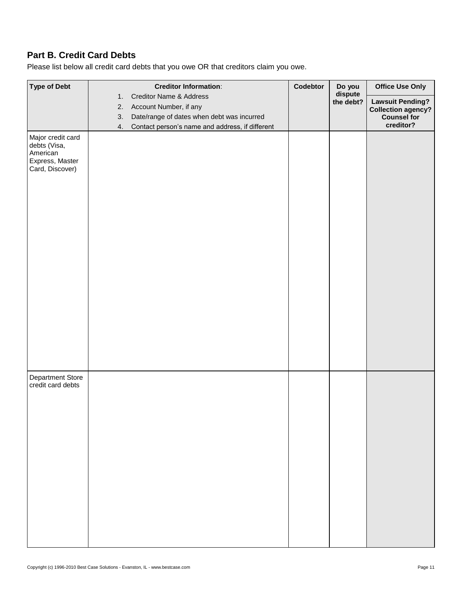# **Part B. Credit Card Debts**

Please list below all credit card debts that you owe OR that creditors claim you owe.

| <b>Type of Debt</b>                                                                 | <b>Creditor Information:</b>                          | Codebtor | Do you               | <b>Office Use Only</b>          |
|-------------------------------------------------------------------------------------|-------------------------------------------------------|----------|----------------------|---------------------------------|
|                                                                                     | Creditor Name & Address<br>1.                         |          | dispute<br>the debt? | <b>Lawsuit Pending?</b>         |
|                                                                                     | Account Number, if any<br>2.                          |          |                      | <b>Collection agency?</b>       |
|                                                                                     | Date/range of dates when debt was incurred<br>3.      |          |                      | <b>Counsel for</b><br>creditor? |
| Major credit card<br>debts (Visa,<br>American<br>Express, Master<br>Card, Discover) | Contact person's name and address, if different<br>4. |          |                      |                                 |
| <b>Department Store</b><br>credit card debts                                        |                                                       |          |                      |                                 |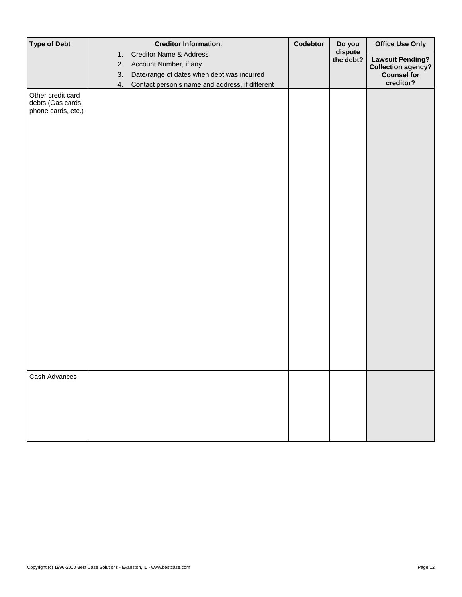| <b>Creditor Name &amp; Address</b><br>1.<br><b>Lawsuit Pending?</b><br>the debt?<br>2.<br>Account Number, if any<br>3.<br>Date/range of dates when debt was incurred<br>creditor?<br>Contact person's name and address, if different<br>4.<br>Other credit card<br>debts (Gas cards,<br>phone cards, etc.) | <b>Type of Debt</b> | <b>Creditor Information:</b> | Codebtor | Do you  | <b>Office Use Only</b>    |
|------------------------------------------------------------------------------------------------------------------------------------------------------------------------------------------------------------------------------------------------------------------------------------------------------------|---------------------|------------------------------|----------|---------|---------------------------|
|                                                                                                                                                                                                                                                                                                            |                     |                              |          | dispute |                           |
|                                                                                                                                                                                                                                                                                                            |                     |                              |          |         | <b>Collection agency?</b> |
|                                                                                                                                                                                                                                                                                                            |                     |                              |          |         | <b>Counsel for</b>        |
|                                                                                                                                                                                                                                                                                                            |                     |                              |          |         |                           |
|                                                                                                                                                                                                                                                                                                            |                     |                              |          |         |                           |
|                                                                                                                                                                                                                                                                                                            |                     |                              |          |         |                           |
| Cash Advances                                                                                                                                                                                                                                                                                              |                     |                              |          |         |                           |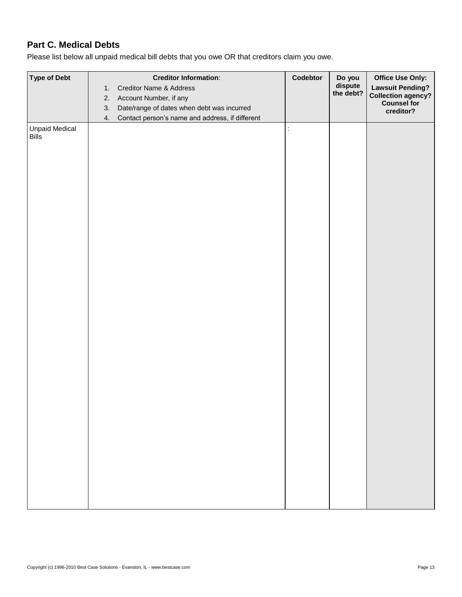# **Part C. Medical Debts**

Please list below all unpaid medical bill debts that you owe OR that creditors claim you owe.

| <b>Type of Debt</b>                   | <b>Creditor Information:</b><br><b>Creditor Name &amp; Address</b><br>1.<br>Account Number, if any<br>2.<br>Date/range of dates when debt was incurred<br>3. | Codebtor | Do you<br>dispute<br>the debt? | <b>Office Use Only:</b><br><b>Lawsuit Pending?</b><br>Collection agency?<br>Counsel for<br>creditor? |
|---------------------------------------|--------------------------------------------------------------------------------------------------------------------------------------------------------------|----------|--------------------------------|------------------------------------------------------------------------------------------------------|
| <b>Unpaid Medical</b><br><b>Bills</b> | Contact person's name and address, if different<br>4.                                                                                                        | t.       |                                |                                                                                                      |
|                                       |                                                                                                                                                              |          |                                |                                                                                                      |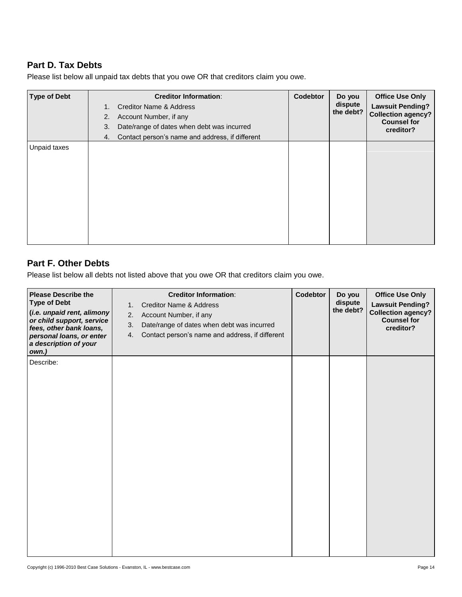## **Part D. Tax Debts**

| <b>Type of Debt</b> | <b>Creditor Information:</b><br><b>Creditor Name &amp; Address</b><br>1.<br>Account Number, if any<br>2.<br>Date/range of dates when debt was incurred<br>3.<br>Contact person's name and address, if different<br>4. | Codebtor | Do you<br>dispute<br>the debt? | <b>Office Use Only</b><br><b>Lawsuit Pending?</b><br><b>Collection agency?</b><br><b>Counsel for</b><br>creditor? |
|---------------------|-----------------------------------------------------------------------------------------------------------------------------------------------------------------------------------------------------------------------|----------|--------------------------------|-------------------------------------------------------------------------------------------------------------------|
| Unpaid taxes        |                                                                                                                                                                                                                       |          |                                |                                                                                                                   |

Please list below all unpaid tax debts that you owe OR that creditors claim you owe.

# **Part F. Other Debts**

Please list below all debts not listed above that you owe OR that creditors claim you owe.

| <b>Please Describe the</b><br><b>Type of Debt</b><br>(i.e. unpaid rent, alimony<br>or child support, service<br>fees, other bank loans,<br>personal loans, or enter<br>a description of your<br>own.) | <b>Creditor Information:</b><br><b>Creditor Name &amp; Address</b><br>1.<br>2.<br>Account Number, if any<br>Date/range of dates when debt was incurred<br>3.<br>Contact person's name and address, if different<br>4. | Codebtor | Do you<br>dispute<br>the debt? | <b>Office Use Only</b><br><b>Lawsuit Pending?</b><br><b>Collection agency?</b><br><b>Counsel for</b><br>creditor? |
|-------------------------------------------------------------------------------------------------------------------------------------------------------------------------------------------------------|-----------------------------------------------------------------------------------------------------------------------------------------------------------------------------------------------------------------------|----------|--------------------------------|-------------------------------------------------------------------------------------------------------------------|
| Describe:                                                                                                                                                                                             |                                                                                                                                                                                                                       |          |                                |                                                                                                                   |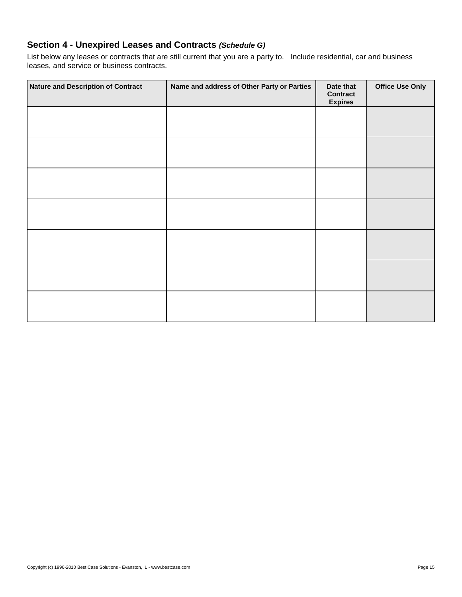## **Section 4 - Unexpired Leases and Contracts** *(Schedule G)*

List below any leases or contracts that are still current that you are a party to. Include residential, car and business leases, and service or business contracts.

| <b>Nature and Description of Contract</b> | Name and address of Other Party or Parties | Date that<br><b>Contract</b><br><b>Expires</b> | <b>Office Use Only</b> |
|-------------------------------------------|--------------------------------------------|------------------------------------------------|------------------------|
|                                           |                                            |                                                |                        |
|                                           |                                            |                                                |                        |
|                                           |                                            |                                                |                        |
|                                           |                                            |                                                |                        |
|                                           |                                            |                                                |                        |
|                                           |                                            |                                                |                        |
|                                           |                                            |                                                |                        |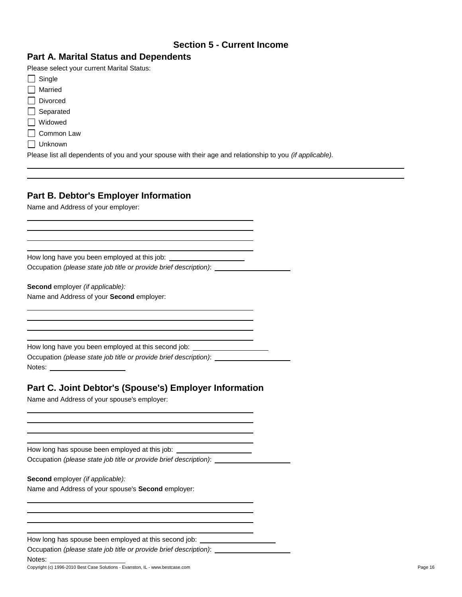## **Section 5 - Current Income**

# **Part A. Marital Status and Dependents**

Please select your current Marital Status:

| $\Box$ Single         |
|-----------------------|
| Married               |
| Divorced              |
| $\Box$ Separated      |
| Widowed               |
| □ Common Law          |
| Unknown               |
| Disses Battell descen |

Please list all dependents of you and your spouse with their age and relationship to you *(if applicable).*

## **Part B. Debtor's Employer Information**

Name and Address of your employer:

How long have you been employed at this job: Occupation *(please state job title or provide brief description)*:

**Second** employer *(if applicable):* Name and Address of your **Second** employer:

How long have you been employed at this second job: \_\_\_\_\_

Occupation *(please state job title or provide brief description)*: Notes: **Notes: Notes:** 

## **Part C. Joint Debtor's (Spouse's) Employer Information**

Name and Address of your spouse's employer:

How long has spouse been employed at this job: Occupation *(please state job title or provide brief description)*:

**Second** employer *(if applicable):*

Name and Address of your spouse's **Second** employer:

How long has spouse been employed at this second job:

Occupation *(please state job title or provide brief description)*:

Notes: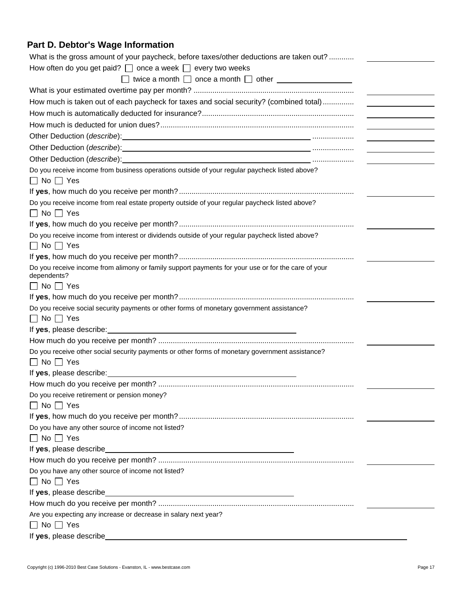# **Part D. Debtor's Wage Information**

| What is the gross amount of your paycheck, before taxes/other deductions are taken out?                                                                                                                                                                   |  |
|-----------------------------------------------------------------------------------------------------------------------------------------------------------------------------------------------------------------------------------------------------------|--|
| How often do you get paid? $\Box$ once a week $\Box$ every two weeks                                                                                                                                                                                      |  |
| $\Box$ twice a month $\Box$ once a month $\Box$ other $\Box$                                                                                                                                                                                              |  |
|                                                                                                                                                                                                                                                           |  |
| How much is taken out of each paycheck for taxes and social security? (combined total)                                                                                                                                                                    |  |
|                                                                                                                                                                                                                                                           |  |
| <u> 1990 - Jan Jawa Barat, prima prima prima prima prima prima prima prima prima prima prima prima prima prima p</u>                                                                                                                                      |  |
|                                                                                                                                                                                                                                                           |  |
| Other Deduction (describe): Manual Contract Deduction (describe):<br><u> 1989 - Andrea Station Books, amerikansk politik (</u>                                                                                                                            |  |
| Other Deduction (describe): the contract of the contract of the contract of the contract of the contract of the contract of the contract of the contract of the contract of the contract of the contract of the contract of th                            |  |
| Do you receive income from business operations outside of your regular paycheck listed above?                                                                                                                                                             |  |
| $\Box$ No $\Box$ Yes                                                                                                                                                                                                                                      |  |
|                                                                                                                                                                                                                                                           |  |
| Do you receive income from real estate property outside of your regular paycheck listed above?                                                                                                                                                            |  |
| $\Box$ No $\Box$ Yes                                                                                                                                                                                                                                      |  |
|                                                                                                                                                                                                                                                           |  |
| Do you receive income from interest or dividends outside of your regular paycheck listed above?                                                                                                                                                           |  |
| $\Box$ No $\Box$ Yes                                                                                                                                                                                                                                      |  |
|                                                                                                                                                                                                                                                           |  |
| Do you receive income from alimony or family support payments for your use or for the care of your<br>dependents?                                                                                                                                         |  |
| $\Box$ No $\Box$ Yes                                                                                                                                                                                                                                      |  |
|                                                                                                                                                                                                                                                           |  |
| Do you receive social security payments or other forms of monetary government assistance?                                                                                                                                                                 |  |
| $\Box$ No $\Box$ Yes                                                                                                                                                                                                                                      |  |
|                                                                                                                                                                                                                                                           |  |
|                                                                                                                                                                                                                                                           |  |
| Do you receive other social security payments or other forms of monetary government assistance?                                                                                                                                                           |  |
| $\Box$ No $\Box$ Yes                                                                                                                                                                                                                                      |  |
| If yes, please describe:<br>the control of the control of the control of the control of the control of the control of the control of the control of the control of the control of the control of the control of the control of the control of the control |  |
|                                                                                                                                                                                                                                                           |  |
| Do you receive retirement or pension money?<br>$\Box$ No $\Box$ Yes                                                                                                                                                                                       |  |
|                                                                                                                                                                                                                                                           |  |
| Do you have any other source of income not listed?                                                                                                                                                                                                        |  |
| $\Box$ No $\Box$ Yes                                                                                                                                                                                                                                      |  |
|                                                                                                                                                                                                                                                           |  |
|                                                                                                                                                                                                                                                           |  |
| Do you have any other source of income not listed?                                                                                                                                                                                                        |  |
| $\Box$ No $\Box$ Yes                                                                                                                                                                                                                                      |  |
| If yes, please describe                                                                                                                                                                                                                                   |  |
|                                                                                                                                                                                                                                                           |  |
| Are you expecting any increase or decrease in salary next year?                                                                                                                                                                                           |  |
| $\Box$ No $\Box$ Yes                                                                                                                                                                                                                                      |  |
| If yes, please describe                                                                                                                                                                                                                                   |  |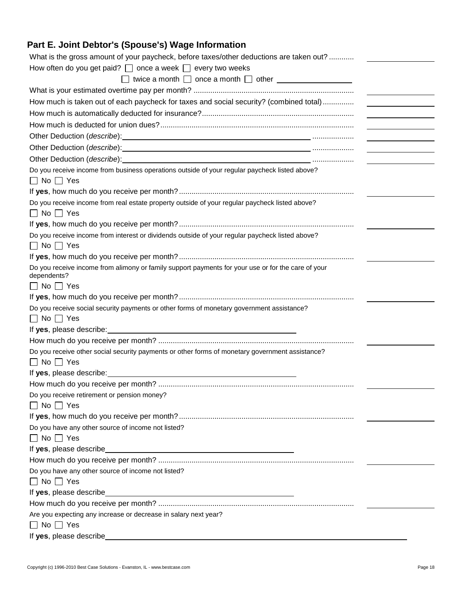# **Part E. Joint Debtor's (Spouse's) Wage Information**

| What is the gross amount of your paycheck, before taxes/other deductions are taken out?                                                                                                                                                                   |                                                                                                                      |
|-----------------------------------------------------------------------------------------------------------------------------------------------------------------------------------------------------------------------------------------------------------|----------------------------------------------------------------------------------------------------------------------|
| How often do you get paid? $\Box$ once a week $\Box$ every two weeks                                                                                                                                                                                      |                                                                                                                      |
| $\Box$ twice a month $\Box$ once a month $\Box$ other $\Box$                                                                                                                                                                                              |                                                                                                                      |
|                                                                                                                                                                                                                                                           |                                                                                                                      |
| How much is taken out of each paycheck for taxes and social security? (combined total)                                                                                                                                                                    |                                                                                                                      |
|                                                                                                                                                                                                                                                           |                                                                                                                      |
|                                                                                                                                                                                                                                                           | <u> 1990 - Jan Jawa Barat, prima prima prima prima prima prima prima prima prima prima prima prima prima prima p</u> |
|                                                                                                                                                                                                                                                           |                                                                                                                      |
| Other Deduction (describe): Manual Contract Deduction (describe):                                                                                                                                                                                         | <u> 1989 - Andrea Station Books, amerikansk politik (</u>                                                            |
| Other Deduction ( <i>describe</i> ): in the set of the set of the set of the set of the set of the set of the set of the set of the set of the set of the set of the set of the set of the set of the set of the set of the set of th                     |                                                                                                                      |
| Do you receive income from business operations outside of your regular paycheck listed above?                                                                                                                                                             |                                                                                                                      |
| $\Box$ No $\Box$ Yes                                                                                                                                                                                                                                      |                                                                                                                      |
|                                                                                                                                                                                                                                                           |                                                                                                                      |
| Do you receive income from real estate property outside of your regular paycheck listed above?                                                                                                                                                            |                                                                                                                      |
| $\Box$ No $\Box$ Yes                                                                                                                                                                                                                                      |                                                                                                                      |
|                                                                                                                                                                                                                                                           |                                                                                                                      |
| Do you receive income from interest or dividends outside of your regular paycheck listed above?                                                                                                                                                           |                                                                                                                      |
| $\Box$ No $\Box$ Yes                                                                                                                                                                                                                                      |                                                                                                                      |
|                                                                                                                                                                                                                                                           |                                                                                                                      |
| Do you receive income from alimony or family support payments for your use or for the care of your<br>dependents?                                                                                                                                         |                                                                                                                      |
| $\Box$ No $\Box$ Yes                                                                                                                                                                                                                                      |                                                                                                                      |
|                                                                                                                                                                                                                                                           |                                                                                                                      |
| Do you receive social security payments or other forms of monetary government assistance?                                                                                                                                                                 |                                                                                                                      |
| $\Box$ No $\Box$ Yes                                                                                                                                                                                                                                      |                                                                                                                      |
|                                                                                                                                                                                                                                                           |                                                                                                                      |
|                                                                                                                                                                                                                                                           |                                                                                                                      |
| Do you receive other social security payments or other forms of monetary government assistance?                                                                                                                                                           |                                                                                                                      |
| $\Box$ No $\Box$ Yes                                                                                                                                                                                                                                      |                                                                                                                      |
| If yes, please describe:<br>the control of the control of the control of the control of the control of the control of the control of the control of the control of the control of the control of the control of the control of the control of the control |                                                                                                                      |
|                                                                                                                                                                                                                                                           |                                                                                                                      |
| Do you receive retirement or pension money?                                                                                                                                                                                                               |                                                                                                                      |
| $\Box$ No $\Box$ Yes                                                                                                                                                                                                                                      |                                                                                                                      |
| Do you have any other source of income not listed?                                                                                                                                                                                                        |                                                                                                                      |
| $\Box$ No $\Box$ Yes                                                                                                                                                                                                                                      |                                                                                                                      |
|                                                                                                                                                                                                                                                           |                                                                                                                      |
|                                                                                                                                                                                                                                                           |                                                                                                                      |
| Do you have any other source of income not listed?                                                                                                                                                                                                        |                                                                                                                      |
| $\Box$ No $\Box$ Yes                                                                                                                                                                                                                                      |                                                                                                                      |
| If yes, please describe                                                                                                                                                                                                                                   |                                                                                                                      |
|                                                                                                                                                                                                                                                           |                                                                                                                      |
| Are you expecting any increase or decrease in salary next year?                                                                                                                                                                                           |                                                                                                                      |
| $\Box$ No $\Box$ Yes                                                                                                                                                                                                                                      |                                                                                                                      |
| If yes, please describe                                                                                                                                                                                                                                   |                                                                                                                      |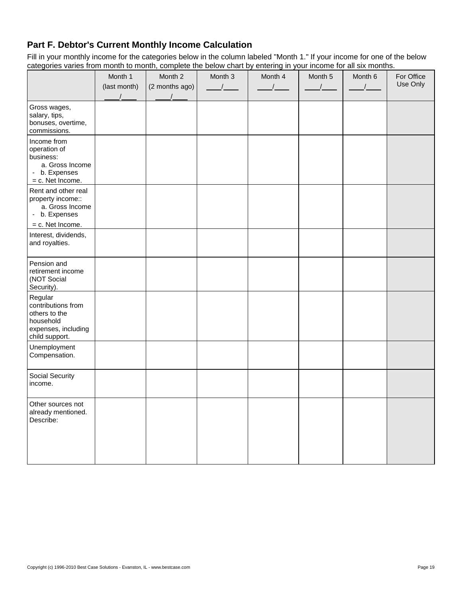# **Part F. Debtor's Current Monthly Income Calculation**

Fill in your monthly income for the categories below in the column labeled "Month 1." If your income for one of the below categories varies from month to month, complete the below chart by entering in your income for all six months.

|                                                                                                      | Month 1<br>(last month) | Month 2<br>(2 months ago) | Month 3<br>$\sqrt{1}$ | Month 4<br>$\sqrt{ }$ | Month 5 | Month 6 | For Office<br>Use Only |
|------------------------------------------------------------------------------------------------------|-------------------------|---------------------------|-----------------------|-----------------------|---------|---------|------------------------|
| Gross wages,<br>salary, tips,<br>bonuses, overtime,<br>commissions.                                  |                         |                           |                       |                       |         |         |                        |
| Income from<br>operation of<br>business:<br>a. Gross Income<br>- b. Expenses<br>= c. Net Income.     |                         |                           |                       |                       |         |         |                        |
| Rent and other real<br>property income::<br>a. Gross Income<br>- b. Expenses<br>= c. Net Income.     |                         |                           |                       |                       |         |         |                        |
| Interest, dividends,<br>and royalties.                                                               |                         |                           |                       |                       |         |         |                        |
| Pension and<br>retirement income<br>(NOT Social<br>Security).                                        |                         |                           |                       |                       |         |         |                        |
| Regular<br>contributions from<br>others to the<br>household<br>expenses, including<br>child support. |                         |                           |                       |                       |         |         |                        |
| Unemployment<br>Compensation.                                                                        |                         |                           |                       |                       |         |         |                        |
| Social Security<br>income.                                                                           |                         |                           |                       |                       |         |         |                        |
| Other sources not<br>already mentioned.<br>Describe:                                                 |                         |                           |                       |                       |         |         |                        |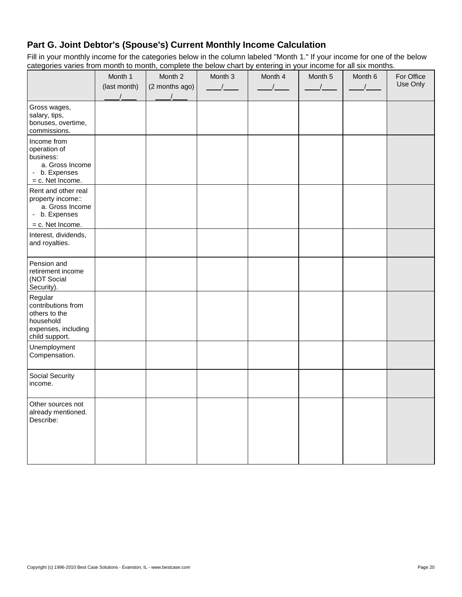# **Part G. Joint Debtor's (Spouse's) Current Monthly Income Calculation**

Fill in your monthly income for the categories below in the column labeled "Month 1." If your income for one of the below categories varies from month to month, complete the below chart by entering in your income for all six months.

|                                                                                                      | Month 1<br>(last month) | Month 2<br>(2 months ago) | Month 3<br>$\sqrt{ }$ | Month 4 | Month 5 | Month 6 | For Office<br>Use Only |
|------------------------------------------------------------------------------------------------------|-------------------------|---------------------------|-----------------------|---------|---------|---------|------------------------|
| Gross wages,<br>salary, tips,<br>bonuses, overtime,<br>commissions.                                  |                         |                           |                       |         |         |         |                        |
| Income from<br>operation of<br>business:<br>a. Gross Income<br>- b. Expenses<br>= c. Net Income.     |                         |                           |                       |         |         |         |                        |
| Rent and other real<br>property income::<br>a. Gross Income<br>- b. Expenses                         |                         |                           |                       |         |         |         |                        |
| = c. Net Income.<br>Interest, dividends,<br>and royalties.                                           |                         |                           |                       |         |         |         |                        |
| Pension and<br>retirement income<br>(NOT Social<br>Security).                                        |                         |                           |                       |         |         |         |                        |
| Regular<br>contributions from<br>others to the<br>household<br>expenses, including<br>child support. |                         |                           |                       |         |         |         |                        |
| Unemployment<br>Compensation.                                                                        |                         |                           |                       |         |         |         |                        |
| Social Security<br>income.                                                                           |                         |                           |                       |         |         |         |                        |
| Other sources not<br>already mentioned.<br>Describe:                                                 |                         |                           |                       |         |         |         |                        |
|                                                                                                      |                         |                           |                       |         |         |         |                        |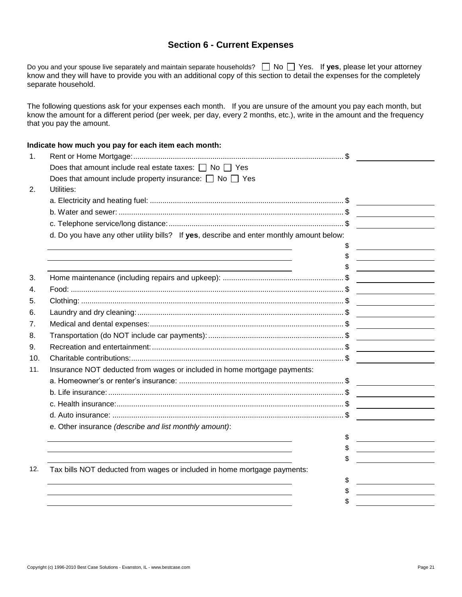## **Section 6 - Current Expenses**

Do you and your spouse live separately and maintain separate households?  $\Box$  No  $\Box$  Yes. If yes, please let your attorney know and they will have to provide you with an additional copy of this section to detail the expenses for the completely separate household.

The following questions ask for your expenses each month. If you are unsure of the amount you pay each month, but know the amount for a different period (per week, per day, every 2 months, etc.), write in the amount and the frequency that you pay the amount.

### **Indicate how much you pay for each item each month:**

| $\mathbf{1}$ . |                                                                                          |                                                                                                                       |
|----------------|------------------------------------------------------------------------------------------|-----------------------------------------------------------------------------------------------------------------------|
|                | Does that amount include real estate taxes: $\Box$ No $\Box$ Yes                         |                                                                                                                       |
|                | Does that amount include property insurance: $\Box$ No $\Box$ Yes                        |                                                                                                                       |
| 2.             | Utilities:                                                                               |                                                                                                                       |
|                |                                                                                          |                                                                                                                       |
|                |                                                                                          |                                                                                                                       |
|                |                                                                                          |                                                                                                                       |
|                | d. Do you have any other utility bills? If yes, describe and enter monthly amount below: |                                                                                                                       |
|                |                                                                                          |                                                                                                                       |
|                |                                                                                          |                                                                                                                       |
|                |                                                                                          |                                                                                                                       |
| 3.             |                                                                                          |                                                                                                                       |
| 4.             |                                                                                          | <u> Terminal de la propincia de la propincia de la propincia de la propincia de la propincia de la propincia de l</u> |
| 5.             |                                                                                          |                                                                                                                       |
| 6.             |                                                                                          |                                                                                                                       |
| 7.             |                                                                                          |                                                                                                                       |
| 8.             |                                                                                          | <u> Territoria de la contenentación de la contenentación de la contenentación de la contenentación de la contene</u>  |
| 9.             |                                                                                          |                                                                                                                       |
| 10.            |                                                                                          |                                                                                                                       |
| 11.            | Insurance NOT deducted from wages or included in home mortgage payments:                 |                                                                                                                       |
|                |                                                                                          |                                                                                                                       |
|                |                                                                                          |                                                                                                                       |
|                |                                                                                          |                                                                                                                       |
|                |                                                                                          |                                                                                                                       |
|                | e. Other insurance (describe and list monthly amount):                                   |                                                                                                                       |
|                |                                                                                          | \$                                                                                                                    |
|                |                                                                                          | \$                                                                                                                    |
|                |                                                                                          |                                                                                                                       |
| 12.            | Tax bills NOT deducted from wages or included in home mortgage payments:                 |                                                                                                                       |
|                |                                                                                          | S                                                                                                                     |
|                |                                                                                          |                                                                                                                       |
|                |                                                                                          |                                                                                                                       |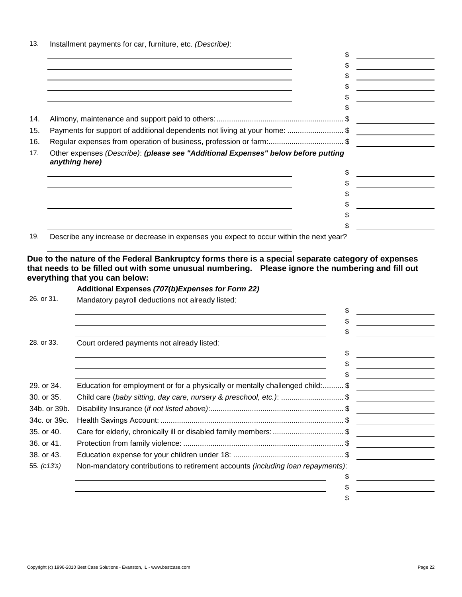| 14. |                                                                                                     |  |
|-----|-----------------------------------------------------------------------------------------------------|--|
| 15. | Payments for support of additional dependents not living at your home: \$                           |  |
| 16. | Regular expenses from operation of business, profession or farm:\$                                  |  |
| 17. | Other expenses (Describe): (please see "Additional Expenses" below before putting<br>anything here) |  |
|     |                                                                                                     |  |
|     |                                                                                                     |  |
|     |                                                                                                     |  |
|     |                                                                                                     |  |
|     |                                                                                                     |  |
|     |                                                                                                     |  |

19. Describe any increase or decrease in expenses you expect to occur within the next year?

**Due to the nature of the Federal Bankruptcy forms there is a special separate category of expenses that needs to be filled out with some unusual numbering. Please ignore the numbering and fill out everything that you can below:**

### **Additional Expenses** *(707(b)Expenses for Form 22)*

26. or 31. Mandatory payroll deductions not already listed:

13. Installment payments for car, furniture, etc. *(Describe)*:

|               |                                                                                 | \$ |
|---------------|---------------------------------------------------------------------------------|----|
|               |                                                                                 |    |
|               |                                                                                 |    |
| 28. or 33.    | Court ordered payments not already listed:                                      |    |
|               |                                                                                 | \$ |
|               |                                                                                 |    |
|               |                                                                                 |    |
| 29. or 34.    | Education for employment or for a physically or mentally challenged child: \$   |    |
| 30. or 35.    | Child care (baby sitting, day care, nursery & preschool, etc.): \$              |    |
| 34b. or 39b.  |                                                                                 |    |
| 34c. or 39c.  |                                                                                 |    |
| 35. or 40.    | Care for elderly, chronically ill or disabled family members: \$                |    |
| 36. or 41.    |                                                                                 |    |
| 38. or 43.    |                                                                                 |    |
| 55. $(c13's)$ | Non-mandatory contributions to retirement accounts (including loan repayments): |    |
|               |                                                                                 |    |
|               |                                                                                 |    |
|               |                                                                                 |    |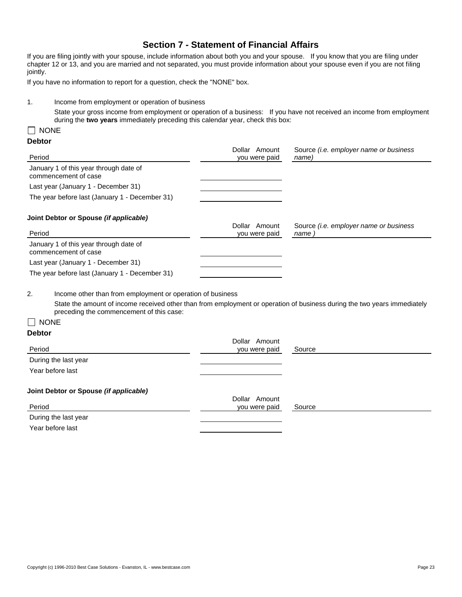## **Section 7 - Statement of Financial Affairs**

If you are filing jointly with your spouse, include information about both you and your spouse. If you know that you are filing under chapter 12 or 13, and you are married and not separated, you must provide information about your spouse even if you are not filing jointly.

If you have no information to report for a question, check the "NONE" box.

1. Income from employment or operation of business

State your gross income from employment or operation of a business: If you have not received an income from employment during the **two years** immediately preceding this calendar year, check this box:

### $\Box$  NONE

### **Debtor**

| Period                                                                                                                                                               | Dollar Amount<br>you were paid | Source (i.e. employer name or business<br>name)       |
|----------------------------------------------------------------------------------------------------------------------------------------------------------------------|--------------------------------|-------------------------------------------------------|
| January 1 of this year through date of<br>commencement of case                                                                                                       |                                |                                                       |
| Last year (January 1 - December 31)                                                                                                                                  |                                |                                                       |
| The year before last (January 1 - December 31)                                                                                                                       |                                |                                                       |
| Joint Debtor or Spouse (if applicable)                                                                                                                               |                                |                                                       |
| Period                                                                                                                                                               | Dollar Amount<br>you were paid | Source <i>(i.e. employer name or business</i><br>name |
| January 1 of this year through date of<br>commencement of case                                                                                                       |                                |                                                       |
| Last year (January 1 - December 31)                                                                                                                                  |                                |                                                       |
| The year before last (January 1 - December 31)                                                                                                                       |                                |                                                       |
| 2.<br>Income other than from employment or operation of business                                                                                                     |                                |                                                       |
| State the amount of income received other than from employment or operation of business during the two years immediately<br>preceding the commencement of this case: |                                |                                                       |
| $\Box$ None                                                                                                                                                          |                                |                                                       |
| <b>Debtor</b>                                                                                                                                                        |                                |                                                       |
|                                                                                                                                                                      | Dollar Amount                  |                                                       |
| Period                                                                                                                                                               | you were paid                  | Source                                                |
| During the last year                                                                                                                                                 |                                |                                                       |
| Year before last                                                                                                                                                     |                                |                                                       |
| Joint Debtor or Spouse (if applicable)                                                                                                                               |                                |                                                       |
| Period                                                                                                                                                               | Dollar Amount<br>you were paid | Source                                                |
| During the last year                                                                                                                                                 |                                |                                                       |

Year before last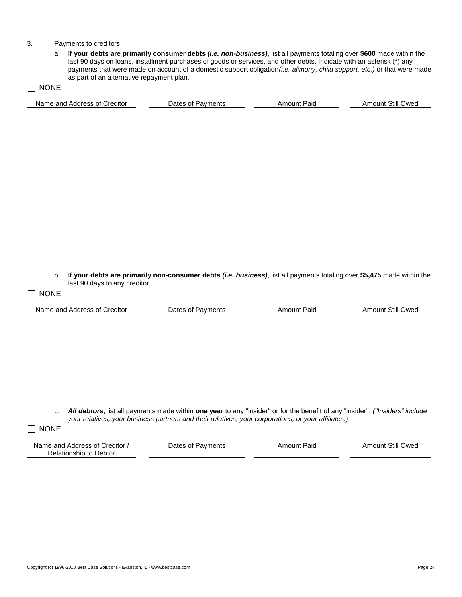#### 3. Payments to creditors

a. **If your debts are primarily consumer debts** *(i.e. non-business)*, list all payments totaling over **\$600** made within the last 90 days on loans, installment purchases of goods or services, and other debts. Indicate with an asterisk (\*) any payments that were made on account of a domestic support obligation*(i.e. alimony, child support, etc.)* or that were made as part of an alternative repayment plan.

 $\Box$  NONE Name and Address of Creditor **Dates of Payments** Amount Paid Amount Still Owed

b. **If your debts are primarily non-consumer debts** *(i.e. business)*, list all payments totaling over **\$5,475** made within the last 90 days to any creditor.

 $\Box$  NONE

Name and Address of Creditor **Dates of Payments** Amount Paid Amount Still Owed

c. *All debtors*, list all payments made within **one year** to any "insider" or for the benefit of any "insider". *("Insiders" include your relatives, your business partners and their relatives, your corporations, or your affiliates.)*

 $\Box$  NONE

| Name and Address of Creditor / | Dates of Payments | Amount Paid | <b>Amount Still Owed</b> |
|--------------------------------|-------------------|-------------|--------------------------|
| Relationship to Debtor         |                   |             |                          |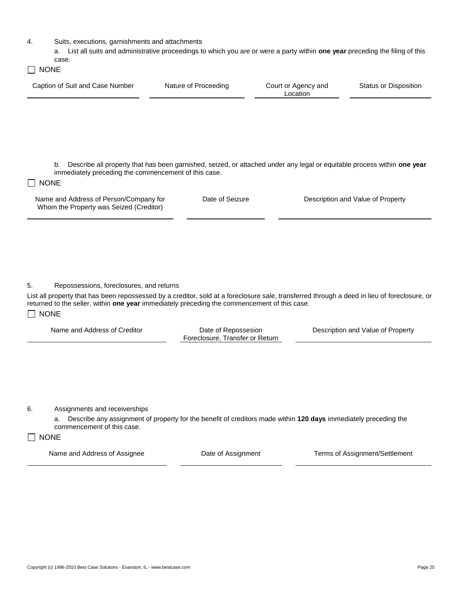4. Suits, executions, garnishments and attachments

a. List all suits and administrative proceedings to which you are or were a party within **one year** preceding the filing of this case.

| NONI |  |
|------|--|
|      |  |

| Caption of Suit and Case Number | Nature of Proceeding | Court or Agency and<br>Location | Status or Disposition |
|---------------------------------|----------------------|---------------------------------|-----------------------|
|                                 |                      |                                 |                       |

b. Describe all property that has been garnished, seized, or attached under any legal or equitable process within **one year** immediately preceding the commencement of this case.

### **NONE**

Name and Address of Person/Company for Whom the Property was Seized (Creditor)

Date of Seizure **Description and Value of Property** 

5. Repossessions, foreclosures, and returns

List all property that has been repossessed by a creditor, sold at a foreclosure sale, transferred through a deed in lieu of foreclosure, or returned to the seller, within **one year** immediately preceding the commencement of this case.  $\Box$  NONE

| Name and Address of Creditor | Date of Repossesion<br>Foreclosure, Transfer or Return | Description and Value of Property |
|------------------------------|--------------------------------------------------------|-----------------------------------|
|                              |                                                        |                                   |

6. Assignments and receiverships

a. Describe any assignment of property for the benefit of creditors made within **120 days** immediately preceding the commencement of this case.

### $\Box$  NONE

Name and Address of Assignee **Date of Assignment** Terms of Assignment/Settlement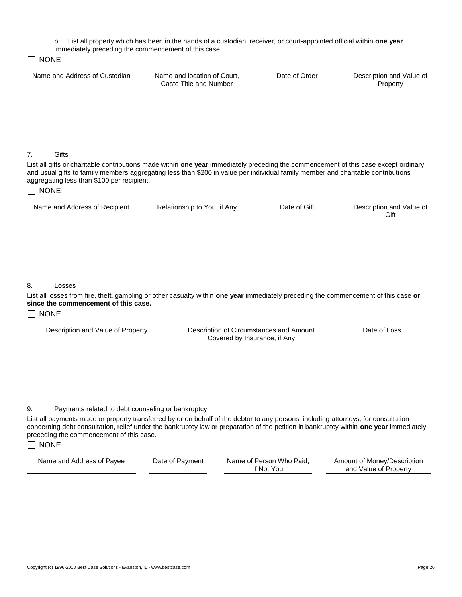b. List all property which has been in the hands of a custodian, receiver, or court-appointed official within **one year**

| immediately preceding the commencement of this case.<br><b>NONE</b>                                                                                                                                                                                                                                                                                 |                                                       |               |                                      |
|-----------------------------------------------------------------------------------------------------------------------------------------------------------------------------------------------------------------------------------------------------------------------------------------------------------------------------------------------------|-------------------------------------------------------|---------------|--------------------------------------|
| Name and Address of Custodian                                                                                                                                                                                                                                                                                                                       | Name and location of Court,<br>Caste Title and Number | Date of Order | Description and Value of<br>Property |
|                                                                                                                                                                                                                                                                                                                                                     |                                                       |               |                                      |
|                                                                                                                                                                                                                                                                                                                                                     |                                                       |               |                                      |
| Gifts<br>7.<br>List all gifts or charitable contributions made within one year immediately preceding the commencement of this case except ordinary<br>and usual gifts to family members aggregating less than \$200 in value per individual family member and charitable contributions<br>aggregating less than \$100 per recipient.<br>$\Box$ none |                                                       |               |                                      |
| Name and Address of Recipient                                                                                                                                                                                                                                                                                                                       | Relationship to You, if Any                           | Date of Gift  | Description and Value of<br>Gift     |
|                                                                                                                                                                                                                                                                                                                                                     |                                                       |               |                                      |
|                                                                                                                                                                                                                                                                                                                                                     |                                                       |               |                                      |
| 8.<br>Losses                                                                                                                                                                                                                                                                                                                                        |                                                       |               |                                      |
| List all losses from fire, theft, gambling or other casualty within one year immediately preceding the commencement of this case or<br>since the commencement of this case.                                                                                                                                                                         |                                                       |               |                                      |
| <b>NONE</b>                                                                                                                                                                                                                                                                                                                                         |                                                       |               |                                      |

| Description and Value of Property | Description of Circumstances and Amount | Date of Loss |
|-----------------------------------|-----------------------------------------|--------------|
|                                   | Covered by Insurance, if Any            |              |

### 9. Payments related to debt counseling or bankruptcy

List all payments made or property transferred by or on behalf of the debtor to any persons, including attorneys, for consultation concerning debt consultation, relief under the bankruptcy law or preparation of the petition in bankruptcy within **one year** immediately preceding the commencement of this case.

### $\Box$  NONE

Name and Address of Payee Date of Payment Name of Person Who Paid, if Not You Amount of Money/Description and Value of Property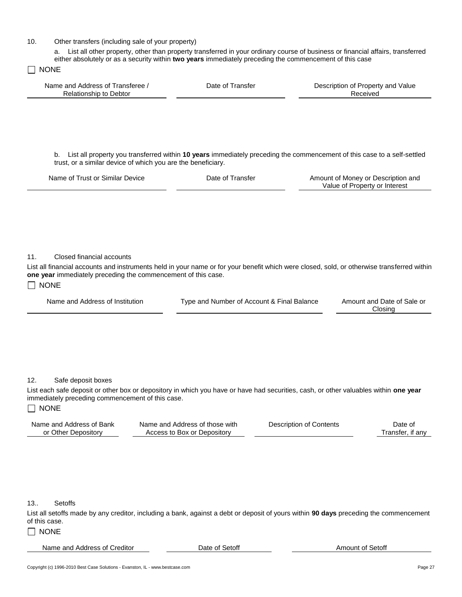10. Other transfers (including sale of your property)

a. List all other property, other than property transferred in your ordinary course of business or financial affairs, transferred either absolutely or as a security within **two years** immediately preceding the commencement of this case

 $\Box$  NONE

| Name and Address of Transferee /<br>Relationship to Debtor | Date of Transfer | Description of Property and Value<br>Received |
|------------------------------------------------------------|------------------|-----------------------------------------------|
|                                                            |                  |                                               |

b. List all property you transferred within **10 years** immediately preceding the commencement of this case to a self-settled trust, or a similar device of which you are the beneficiary.

| Name of Trust or Similar Device | Date of Transfer | Amount of Money or Description and |
|---------------------------------|------------------|------------------------------------|
|                                 |                  | Value of Property or Interest      |

### 11. Closed financial accounts

List all financial accounts and instruments held in your name or for your benefit which were closed, sold, or otherwise transferred within **one year** immediately preceding the commencement of this case.

#### $\Box$  NONE

|  | Name and Address of Institution |  |
|--|---------------------------------|--|
|--|---------------------------------|--|

Type and Number of Account & Final Balance Amount and Date of Sale or

Closing

#### 12. Safe deposit boxes

List each safe deposit or other box or depository in which you have or have had securities, cash, or other valuables within **one year** immediately preceding commencement of this case.

### $\Box$  NONE

| Name and Address of Bank | Name and Address of those with | Description of Contents | Date of          |
|--------------------------|--------------------------------|-------------------------|------------------|
| or Other Depository      | Access to Box or Depository    |                         | Transfer. if anv |

#### 13.. Setoffs

List all setoffs made by any creditor, including a bank, against a debt or deposit of yours within **90 days** preceding the commencement of this case.

### $\Box$  NONE

Name and Address of Creditor **Date of Setoff Creditor** Date of Setoff **Amount of Setoff** Amount of Setoff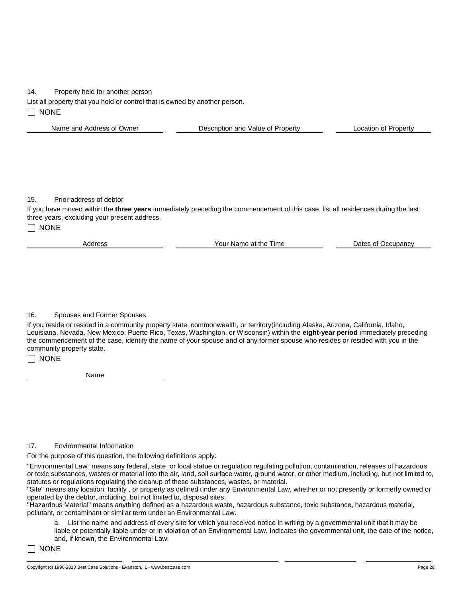#### 14. Property held for another person

List all property that you hold or control that is owned by another person.

 $\Box$  NONE

| Name and Address of Owner | Description and Value of Property | Location of Property |
|---------------------------|-----------------------------------|----------------------|
|                           |                                   |                      |

15. Prior address of debtor

If you have moved within the **three years** immediately preceding the commencement of this case, list all residences during the last three years, excluding your present address.

 $\Box$  NONE

Address **The Contract Contract Address** Your Name at the Time **Dates of Occupancy** 

#### 16. Spouses and Former Spouses

If you reside or resided in a community property state, commonwealth, or territory(including Alaska, Arizona, California, Idaho, Louisiana, Nevada, New Mexico, Puerto Rico, Texas, Washington, or Wisconsin) within the **eight-year period** immediately preceding the commencement of the case, identify the name of your spouse and of any former spouse who resides or resided with you in the community property state.

### $\Box$  NONE

Name

#### 17. Environmental Information

For the purpose of this question, the following definitions apply:

"Environmental Law" means any federal, state, or local statue or regulation regulating pollution, contamination, releases of hazardous or toxic substances, wastes or material into the air, land, soil surface water, ground water, or other medium, including, but not limited to, statutes or regulations regulating the cleanup of these substances, wastes, or material.

"Site" means any location, facility , or property as defined under any Environmental Law, whether or not presently or formerly owned or operated by the debtor, including, but not limited to, disposal sites.

"Hazardous Material" means anything defined as a hazardous waste, hazardous substance, toxic substance, hazardous material, pollutant, or contaminant or similar term under an Environmental Law.

a. List the name and address of every site for which you received notice in writing by a governmental unit that it may be liable or potentially liable under or in violation of an Environmental Law. Indicates the governmental unit, the date of the notice, and, if known, the Environmental Law.

 $\Box$  None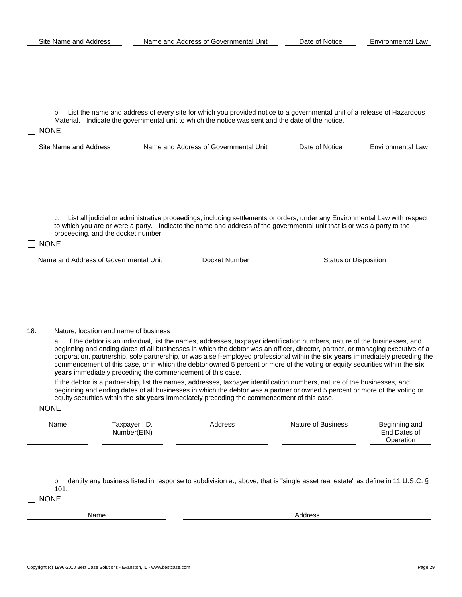b. List the name and address of every site for which you provided notice to a governmental unit of a release of Hazardous Material. Indicate the governmental unit to which the notice was sent and the date of the notice.

## $\Box$  None

| Site<br>: Name and Address | Unit<br>I Address of Governmental I<br>Name and | Date<br>Notice<br>ΩŤ | Environmental Law |
|----------------------------|-------------------------------------------------|----------------------|-------------------|
|                            |                                                 |                      |                   |

c. List all judicial or administrative proceedings, including settlements or orders, under any Environmental Law with respect to which you are or were a party. Indicate the name and address of the governmental unit that is or was a party to the proceeding, and the docket number.

#### $\Box$  NONE

Name and Address of Governmental Unit **Docket Number** Status or Disposition **Status or Disposition** 

### 18. Nature, location and name of business

a. If the debtor is an individual, list the names, addresses, taxpayer identification numbers, nature of the businesses, and beginning and ending dates of all businesses in which the debtor was an officer, director, partner, or managing executive of a corporation, partnership, sole partnership, or was a self-employed professional within the **six years** immediately preceding the commencement of this case, or in which the debtor owned 5 percent or more of the voting or equity securities within the **six years** immediately preceding the commencement of this case.

If the debtor is a partnership, list the names, addresses, taxpayer identification numbers, nature of the businesses, and beginning and ending dates of all businesses in which the debtor was a partner or owned 5 percent or more of the voting or equity securities within the **six years** immediately preceding the commencement of this case.

#### $\Box$  NONE

|  | Name | Taxpayer I.D.<br>Number(EIN) | Address | Nature of Business | Beginning and<br>End Dates of<br>Operation |
|--|------|------------------------------|---------|--------------------|--------------------------------------------|
|--|------|------------------------------|---------|--------------------|--------------------------------------------|

b. Identify any business listed in response to subdivision a., above, that is "single asset real estate" as define in 11 U.S.C. § 101.

 $\Box$  None

Name Address And Address And Address And Address Address Address And Address Address Address And Address And A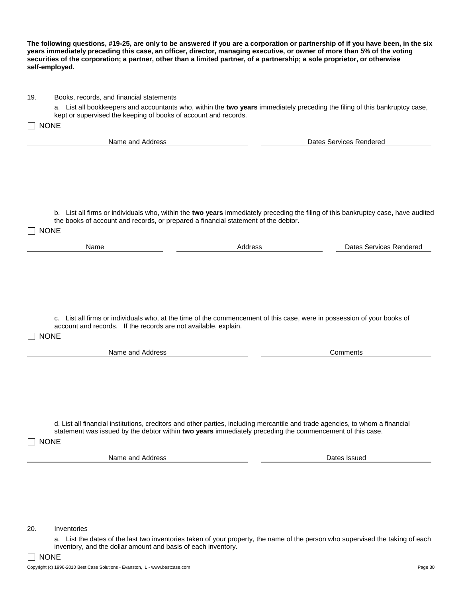| 19.         | Books, records, and financial statements                                           |                                                                                                                                                                                                                                           |
|-------------|------------------------------------------------------------------------------------|-------------------------------------------------------------------------------------------------------------------------------------------------------------------------------------------------------------------------------------------|
|             |                                                                                    | a. List all bookkeepers and accountants who, within the two years immediately preceding the filing of this bankruptcy case,                                                                                                               |
| $\Box$ NONE | kept or supervised the keeping of books of account and records.                    |                                                                                                                                                                                                                                           |
|             |                                                                                    |                                                                                                                                                                                                                                           |
|             | Name and Address                                                                   | <b>Dates Services Rendered</b>                                                                                                                                                                                                            |
|             |                                                                                    |                                                                                                                                                                                                                                           |
|             |                                                                                    |                                                                                                                                                                                                                                           |
|             |                                                                                    |                                                                                                                                                                                                                                           |
|             |                                                                                    |                                                                                                                                                                                                                                           |
|             |                                                                                    |                                                                                                                                                                                                                                           |
|             |                                                                                    | b. List all firms or individuals who, within the two years immediately preceding the filing of this bankruptcy case, have audited                                                                                                         |
|             | the books of account and records, or prepared a financial statement of the debtor. |                                                                                                                                                                                                                                           |
|             | <b>NONE</b>                                                                        |                                                                                                                                                                                                                                           |
|             | Name                                                                               | Address<br>Dates Services Rendered                                                                                                                                                                                                        |
|             |                                                                                    |                                                                                                                                                                                                                                           |
|             |                                                                                    |                                                                                                                                                                                                                                           |
|             |                                                                                    |                                                                                                                                                                                                                                           |
|             |                                                                                    |                                                                                                                                                                                                                                           |
|             |                                                                                    |                                                                                                                                                                                                                                           |
|             |                                                                                    |                                                                                                                                                                                                                                           |
|             |                                                                                    | c. List all firms or individuals who, at the time of the commencement of this case, were in possession of your books of                                                                                                                   |
|             | account and records. If the records are not available, explain.                    |                                                                                                                                                                                                                                           |
| $\Box$ NONE |                                                                                    |                                                                                                                                                                                                                                           |
|             | Name and Address                                                                   | Comments                                                                                                                                                                                                                                  |
|             |                                                                                    |                                                                                                                                                                                                                                           |
|             |                                                                                    |                                                                                                                                                                                                                                           |
|             |                                                                                    |                                                                                                                                                                                                                                           |
|             |                                                                                    |                                                                                                                                                                                                                                           |
|             |                                                                                    |                                                                                                                                                                                                                                           |
|             |                                                                                    |                                                                                                                                                                                                                                           |
|             |                                                                                    | d. List all financial institutions, creditors and other parties, including mercantile and trade agencies, to whom a financial<br>statement was issued by the debtor within two years immediately preceding the commencement of this case. |
|             | <b>NONE</b>                                                                        |                                                                                                                                                                                                                                           |
|             |                                                                                    |                                                                                                                                                                                                                                           |
|             | Name and Address                                                                   | Dates Issued                                                                                                                                                                                                                              |
|             |                                                                                    |                                                                                                                                                                                                                                           |
|             |                                                                                    |                                                                                                                                                                                                                                           |
|             |                                                                                    |                                                                                                                                                                                                                                           |
|             |                                                                                    |                                                                                                                                                                                                                                           |
|             |                                                                                    |                                                                                                                                                                                                                                           |
| 20.         | Inventories                                                                        |                                                                                                                                                                                                                                           |
|             |                                                                                    | a. List the dates of the last two inventories taken of your property, the name of the person who supervised the taking of each                                                                                                            |
|             |                                                                                    |                                                                                                                                                                                                                                           |
|             | inventory, and the dollar amount and basis of each inventory.                      |                                                                                                                                                                                                                                           |

**The following questions, #19-25, are only to be answered if you are a corporation or partnership of if you have been, in the six years immediately preceding this case, an officer, director, managing executive, or owner of more than 5% of the voting securities of the corporation; a partner, other than a limited partner, of a partnership; a sole proprietor, or otherwise self-employed.**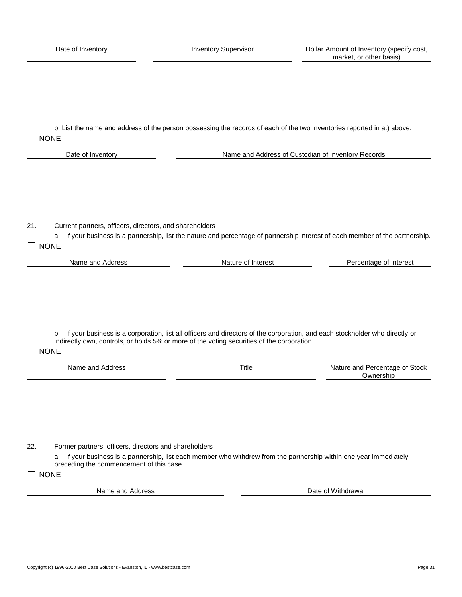b. List the name and address of the person possessing the records of each of the two inventories reported in a.) above.  $\Box$  NONE

Date of Inventory **Name and Address of Custodian of Inventory Records** 

21. Current partners, officers, directors, and shareholders

a. If your business is a partnership, list the nature and percentage of partnership interest of each member of the partnership.  $\Box$  NONE

| Name and Address | Nature of Interest | Percentage of Interest |
|------------------|--------------------|------------------------|
|                  |                    |                        |

b. If your business is a corporation, list all officers and directors of the corporation, and each stockholder who directly or indirectly own, controls, or holds 5% or more of the voting securities of the corporation.

## $\Box$  NONE Name and Address **Nature 20** Address Nature and Percentage of Stock **Ownership**

22. Former partners, officers, directors and shareholders

a. If your business is a partnership, list each member who withdrew from the partnership within one year immediately preceding the commencement of this case.

 $\Box$  NONE

Name and Address **Date of Withdrawal**